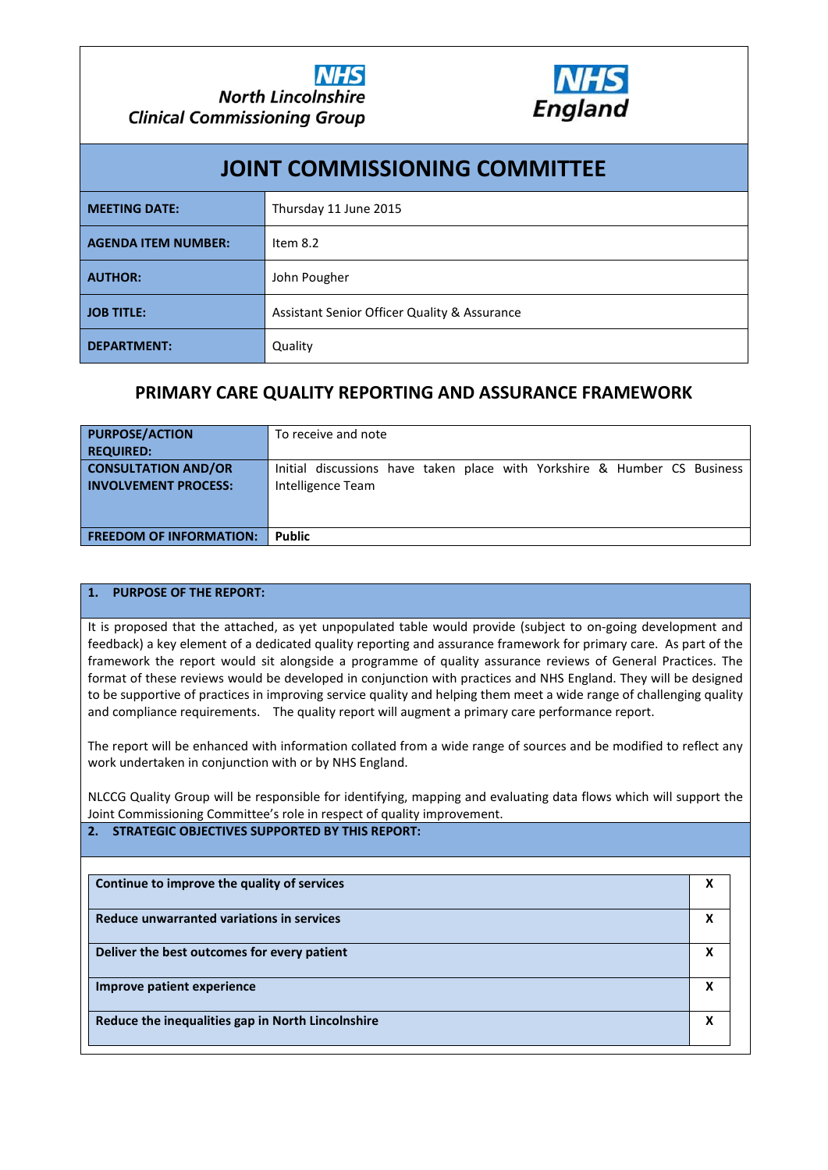

| <b>JOINT COMMISSIONING COMMITTEE</b>          |                                              |  |  |  |  |  |  |  |
|-----------------------------------------------|----------------------------------------------|--|--|--|--|--|--|--|
| <b>MEETING DATE:</b><br>Thursday 11 June 2015 |                                              |  |  |  |  |  |  |  |
| <b>AGENDA ITEM NUMBER:</b>                    | Item $8.2$                                   |  |  |  |  |  |  |  |
| <b>AUTHOR:</b>                                | John Pougher                                 |  |  |  |  |  |  |  |
| <b>JOB TITLE:</b>                             | Assistant Senior Officer Quality & Assurance |  |  |  |  |  |  |  |
| <b>DEPARTMENT:</b>                            | Quality                                      |  |  |  |  |  |  |  |

## **PRIMARY CARE QUALITY REPORTING AND ASSURANCE FRAMEWORK**

| <b>PURPOSE/ACTION</b><br><b>REQUIRED:</b>                 | To receive and note                                                                           |
|-----------------------------------------------------------|-----------------------------------------------------------------------------------------------|
| <b>CONSULTATION AND/OR</b><br><b>INVOLVEMENT PROCESS:</b> | Initial discussions have taken place with Yorkshire & Humber CS Business<br>Intelligence Team |
| <b>FREEDOM OF INFORMATION:</b>                            | <b>Public</b>                                                                                 |

## **1. PURPOSE OF THE REPORT:**

It is proposed that the attached, as yet unpopulated table would provide (subject to on-going development and feedback) a key element of a dedicated quality reporting and assurance framework for primary care. As part of the framework the report would sit alongside a programme of quality assurance reviews of General Practices. The format of these reviews would be developed in conjunction with practices and NHS England. They will be designed to be supportive of practices in improving service quality and helping them meet a wide range of challenging quality and compliance requirements. The quality report will augment a primary care performance report.

The report will be enhanced with information collated from a wide range of sources and be modified to reflect any work undertaken in conjunction with or by NHS England.

NLCCG Quality Group will be responsible for identifying, mapping and evaluating data flows which will support the Joint Commissioning Committee's role in respect of quality improvement.

## **2. STRATEGIC OBJECTIVES SUPPORTED BY THIS REPORT:**

| Continue to improve the quality of services       | X |
|---------------------------------------------------|---|
| Reduce unwarranted variations in services         | X |
| Deliver the best outcomes for every patient       | X |
| Improve patient experience                        | X |
| Reduce the inequalities gap in North Lincolnshire | х |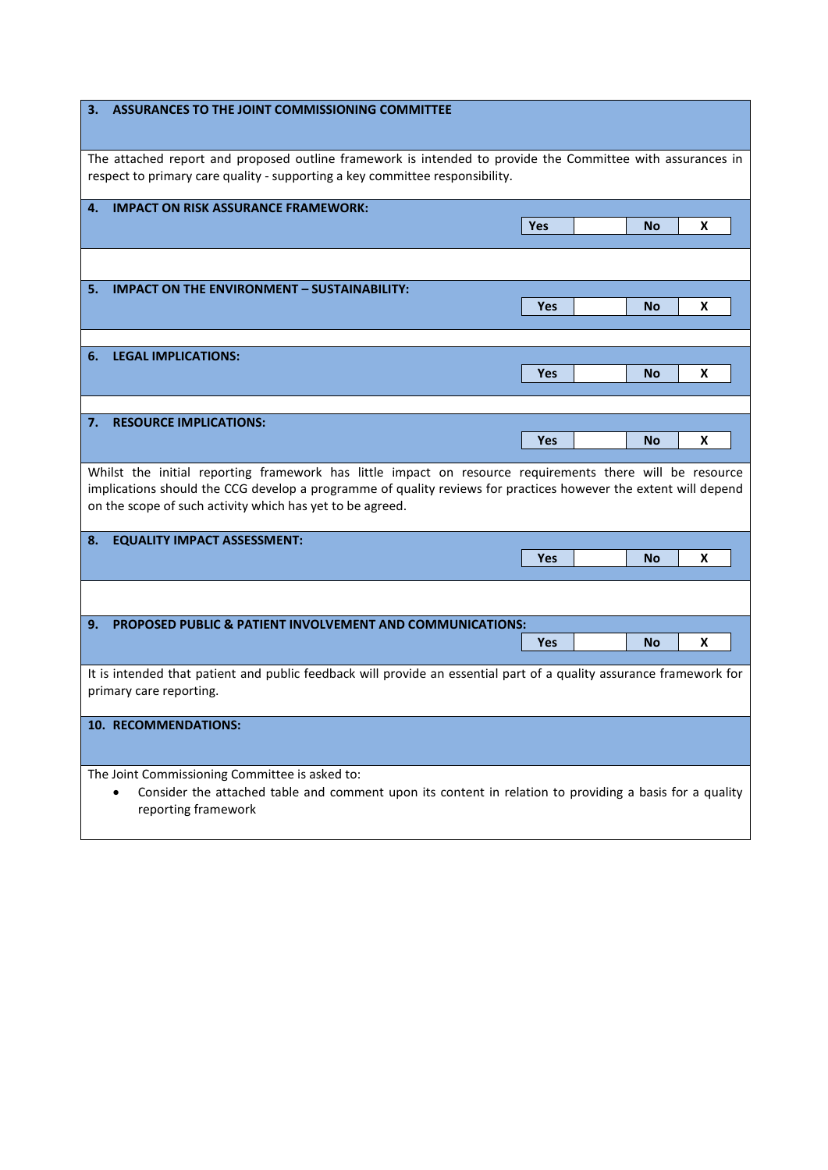| ASSURANCES TO THE JOINT COMMISSIONING COMMITTEE<br>3.                                                                                                                                      |     |  |           |   |  |  |  |  |
|--------------------------------------------------------------------------------------------------------------------------------------------------------------------------------------------|-----|--|-----------|---|--|--|--|--|
| The attached report and proposed outline framework is intended to provide the Committee with assurances in<br>respect to primary care quality - supporting a key committee responsibility. |     |  |           |   |  |  |  |  |
| <b>IMPACT ON RISK ASSURANCE FRAMEWORK:</b><br>4.                                                                                                                                           |     |  |           |   |  |  |  |  |
|                                                                                                                                                                                            | Yes |  | No        | x |  |  |  |  |
|                                                                                                                                                                                            |     |  |           |   |  |  |  |  |
| <b>IMPACT ON THE ENVIRONMENT - SUSTAINABILITY:</b><br>5.                                                                                                                                   |     |  |           |   |  |  |  |  |
|                                                                                                                                                                                            | Yes |  | No        | X |  |  |  |  |
|                                                                                                                                                                                            |     |  |           |   |  |  |  |  |
| <b>LEGAL IMPLICATIONS:</b><br>6.                                                                                                                                                           |     |  |           |   |  |  |  |  |
|                                                                                                                                                                                            | Yes |  | No        | X |  |  |  |  |
|                                                                                                                                                                                            |     |  |           |   |  |  |  |  |
| <b>RESOURCE IMPLICATIONS:</b><br>7.                                                                                                                                                        |     |  |           |   |  |  |  |  |
|                                                                                                                                                                                            | Yes |  | <b>No</b> | X |  |  |  |  |
| implications should the CCG develop a programme of quality reviews for practices however the extent will depend<br>on the scope of such activity which has yet to be agreed.               |     |  |           |   |  |  |  |  |
| <b>EQUALITY IMPACT ASSESSMENT:</b><br>8.                                                                                                                                                   |     |  |           |   |  |  |  |  |
|                                                                                                                                                                                            | Yes |  | <b>No</b> | x |  |  |  |  |
|                                                                                                                                                                                            |     |  |           |   |  |  |  |  |
| PROPOSED PUBLIC & PATIENT INVOLVEMENT AND COMMUNICATIONS:<br>9.                                                                                                                            |     |  |           |   |  |  |  |  |
|                                                                                                                                                                                            | Yes |  | <b>No</b> | X |  |  |  |  |
| It is intended that patient and public feedback will provide an essential part of a quality assurance framework for<br>primary care reporting.                                             |     |  |           |   |  |  |  |  |
| 10. RECOMMENDATIONS:                                                                                                                                                                       |     |  |           |   |  |  |  |  |
| The Joint Commissioning Committee is asked to:<br>Consider the attached table and comment upon its content in relation to providing a basis for a quality<br>reporting framework           |     |  |           |   |  |  |  |  |